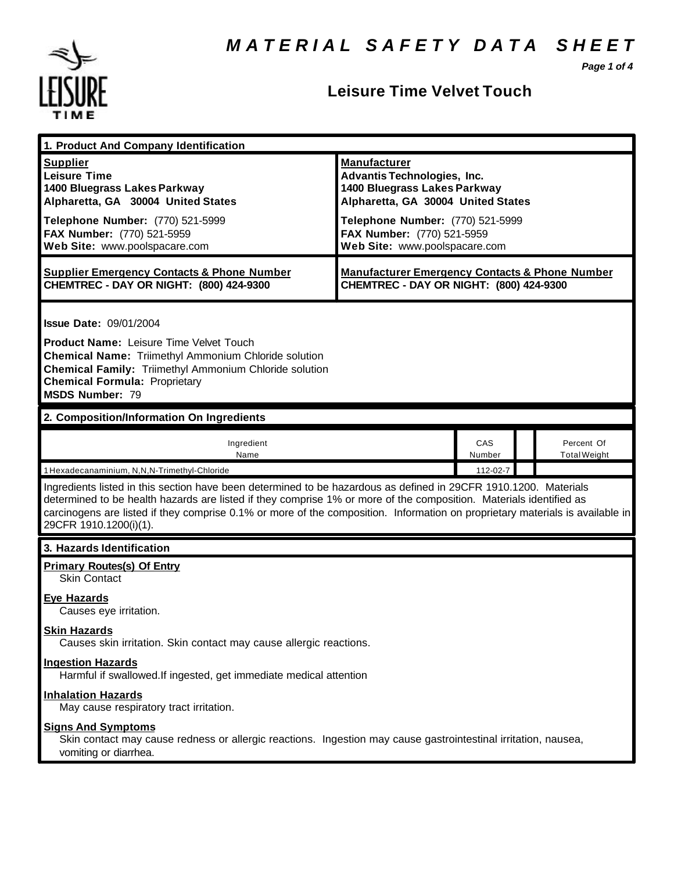*Page 1 of 4*



## **Leisure Time Velvet Touch**

| 1. Product And Company Identification                                                                                                                                                                                                                                                                                                                                                             |                                                                                                                                                                                                                                    |               |  |                                   |  |
|---------------------------------------------------------------------------------------------------------------------------------------------------------------------------------------------------------------------------------------------------------------------------------------------------------------------------------------------------------------------------------------------------|------------------------------------------------------------------------------------------------------------------------------------------------------------------------------------------------------------------------------------|---------------|--|-----------------------------------|--|
| <b>Supplier</b><br><b>Leisure Time</b><br>1400 Bluegrass Lakes Parkway<br>Alpharetta, GA 30004 United States<br>Telephone Number: (770) 521-5999<br>FAX Number: (770) 521-5959<br>Web Site: www.poolspacare.com                                                                                                                                                                                   | <b>Manufacturer</b><br><b>Advantis Technologies, Inc.</b><br>1400 Bluegrass Lakes Parkway<br>Alpharetta, GA 30004 United States<br>Telephone Number: (770) 521-5999<br>FAX Number: (770) 521-5959<br>Web Site: www.poolspacare.com |               |  |                                   |  |
| <b>Supplier Emergency Contacts &amp; Phone Number</b><br>CHEMTREC - DAY OR NIGHT: (800) 424-9300                                                                                                                                                                                                                                                                                                  | <b>Manufacturer Emergency Contacts &amp; Phone Number</b><br>CHEMTREC - DAY OR NIGHT: (800) 424-9300                                                                                                                               |               |  |                                   |  |
| <b>Issue Date: 09/01/2004</b><br><b>Product Name: Leisure Time Velvet Touch</b><br><b>Chemical Name: Triimethyl Ammonium Chloride solution</b><br>Chemical Family: Triimethyl Ammonium Chloride solution<br><b>Chemical Formula: Proprietary</b><br><b>MSDS Number: 79</b>                                                                                                                        |                                                                                                                                                                                                                                    |               |  |                                   |  |
| 2. Composition/Information On Ingredients                                                                                                                                                                                                                                                                                                                                                         |                                                                                                                                                                                                                                    |               |  |                                   |  |
| Ingredient<br>Name                                                                                                                                                                                                                                                                                                                                                                                |                                                                                                                                                                                                                                    | CAS<br>Number |  | Percent Of<br><b>Total Weight</b> |  |
| 1 Hexadecanaminium, N,N,N-Trimethyl-Chloride                                                                                                                                                                                                                                                                                                                                                      |                                                                                                                                                                                                                                    | 112-02-7      |  |                                   |  |
| Ingredients listed in this section have been determined to be hazardous as defined in 29CFR 1910.1200. Materials<br>determined to be health hazards are listed if they comprise 1% or more of the composition. Materials identified as<br>carcinogens are listed if they comprise 0.1% or more of the composition. Information on proprietary materials is available in<br>29CFR 1910.1200(i)(1). |                                                                                                                                                                                                                                    |               |  |                                   |  |
| 3. Hazards Identification                                                                                                                                                                                                                                                                                                                                                                         |                                                                                                                                                                                                                                    |               |  |                                   |  |
| <b>Primary Routes(s) Of Entry</b><br><b>Skin Contact</b>                                                                                                                                                                                                                                                                                                                                          |                                                                                                                                                                                                                                    |               |  |                                   |  |
| <b>Eye Hazards</b><br>Causes eye irritation.                                                                                                                                                                                                                                                                                                                                                      |                                                                                                                                                                                                                                    |               |  |                                   |  |
| <b>Skin Hazards</b><br>Causes skin irritation. Skin contact may cause allergic reactions.                                                                                                                                                                                                                                                                                                         |                                                                                                                                                                                                                                    |               |  |                                   |  |
| <b>Ingestion Hazards</b><br>Harmful if swallowed. If ingested, get immediate medical attention                                                                                                                                                                                                                                                                                                    |                                                                                                                                                                                                                                    |               |  |                                   |  |
| <b>Inhalation Hazards</b><br>May cause respiratory tract irritation.                                                                                                                                                                                                                                                                                                                              |                                                                                                                                                                                                                                    |               |  |                                   |  |
| <b>Signs And Symptoms</b><br>Skin contact may cause redness or allergic reactions. Ingestion may cause gastrointestinal irritation, nausea,<br>vomiting or diarrhea.                                                                                                                                                                                                                              |                                                                                                                                                                                                                                    |               |  |                                   |  |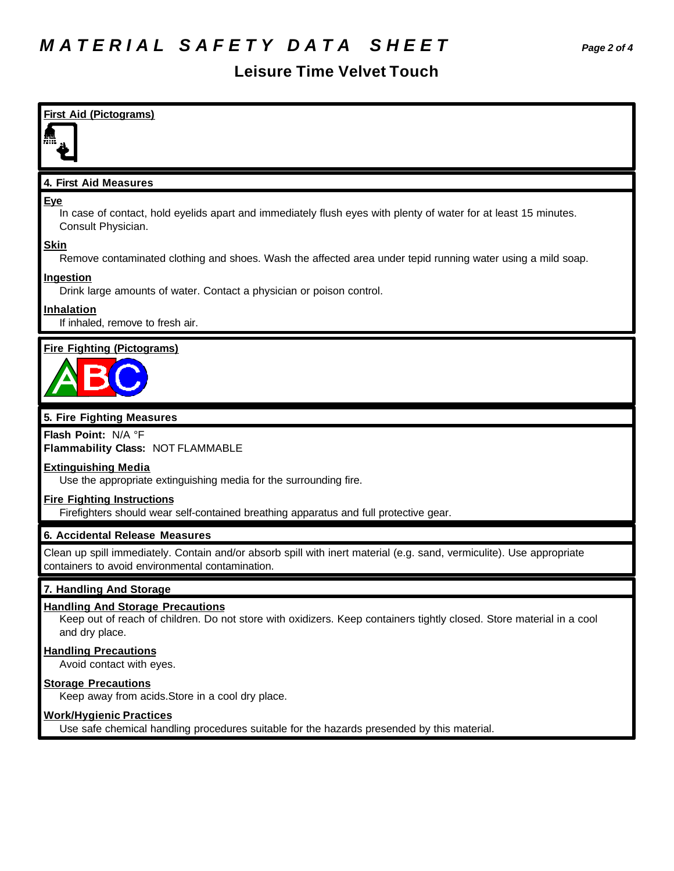## **Leisure Time Velvet Touch**

| <b>First Aid (Pictograms)</b>                                                                                                                                                     |
|-----------------------------------------------------------------------------------------------------------------------------------------------------------------------------------|
|                                                                                                                                                                                   |
| 4. First Aid Measures                                                                                                                                                             |
| <u>Eye</u><br>In case of contact, hold eyelids apart and immediately flush eyes with plenty of water for at least 15 minutes.<br>Consult Physician.                               |
| <b>Skin</b><br>Remove contaminated clothing and shoes. Wash the affected area under tepid running water using a mild soap.                                                        |
| <b>Ingestion</b><br>Drink large amounts of water. Contact a physician or poison control.                                                                                          |
| Inhalation<br>If inhaled, remove to fresh air.                                                                                                                                    |
| <b>Fire Fighting (Pictograms)</b>                                                                                                                                                 |
|                                                                                                                                                                                   |
| 5. Fire Fighting Measures                                                                                                                                                         |
| Flash Point: N/A °F<br>Flammability Class: NOT FLAMMABLE                                                                                                                          |
| <b>Extinguishing Media</b><br>Use the appropriate extinguishing media for the surrounding fire.                                                                                   |
| <b>Fire Fighting Instructions</b><br>Firefighters should wear self-contained breathing apparatus and full protective gear.                                                        |
| 6. Accidental Release Measures                                                                                                                                                    |
| Clean up spill immediately. Contain and/or absorb spill with inert material (e.g. sand, vermiculite). Use appropriate<br>containers to avoid environmental contamination.         |
| 7. Handling And Storage                                                                                                                                                           |
| <b>Handling And Storage Precautions</b><br>Keep out of reach of children. Do not store with oxidizers. Keep containers tightly closed. Store material in a cool<br>and dry place. |
| <b>Handling Precautions</b><br>Avoid contact with eyes.                                                                                                                           |
| <b>Storage Precautions</b>                                                                                                                                                        |

Keep away from acids.Store in a cool dry place.

#### **Work/Hygienic Practices**

Use safe chemical handling procedures suitable for the hazards presended by this material.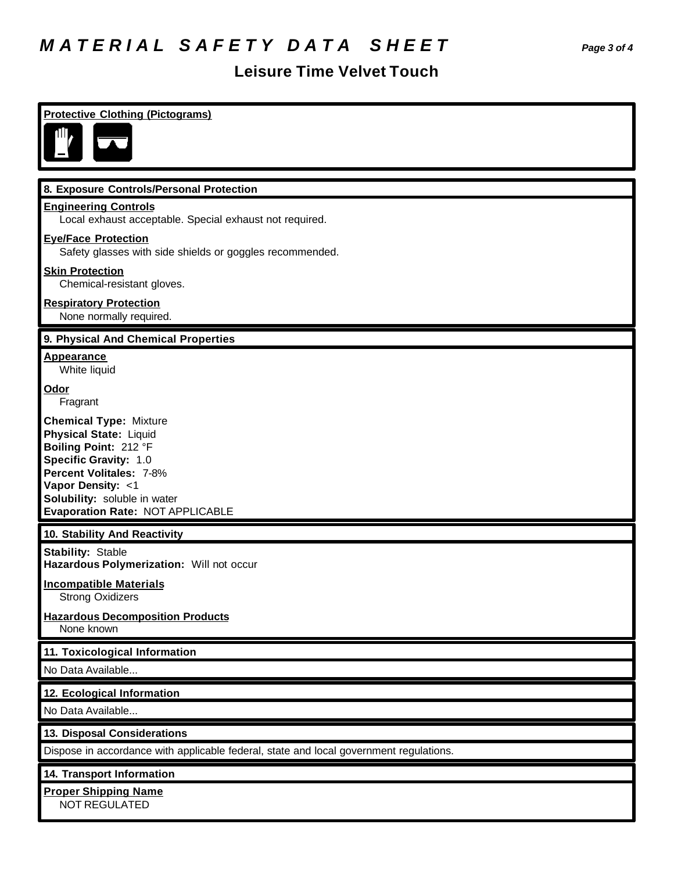# *M A T E R I A L S A F E T Y D A T A S H E E T Page 3 of 4*

# **Leisure Time Velvet Touch**

| <b>Protective Clothing (Pictograms)</b>                                                                                                                                                                                              |
|--------------------------------------------------------------------------------------------------------------------------------------------------------------------------------------------------------------------------------------|
|                                                                                                                                                                                                                                      |
|                                                                                                                                                                                                                                      |
| 8. Exposure Controls/Personal Protection                                                                                                                                                                                             |
| <b>Engineering Controls</b><br>Local exhaust acceptable. Special exhaust not required.                                                                                                                                               |
| <b>Eye/Face Protection</b><br>Safety glasses with side shields or goggles recommended.                                                                                                                                               |
| <b>Skin Protection</b><br>Chemical-resistant gloves.                                                                                                                                                                                 |
| <b>Respiratory Protection</b><br>None normally required.                                                                                                                                                                             |
| 9. Physical And Chemical Properties                                                                                                                                                                                                  |
| <b>Appearance</b><br>White liquid                                                                                                                                                                                                    |
| <b>Odor</b><br>Fragrant                                                                                                                                                                                                              |
| <b>Chemical Type: Mixture</b><br><b>Physical State: Liquid</b><br>Boiling Point: 212 °F<br>Specific Gravity: 1.0<br>Percent Volitales: 7-8%<br>Vapor Density: <1<br>Solubility: soluble in water<br>Evaporation Rate: NOT APPLICABLE |
| 10. Stability And Reactivity                                                                                                                                                                                                         |
| <b>Stability: Stable</b><br>Hazardous Polymerization: Will not occur                                                                                                                                                                 |
| <b>Incompatible Materials</b><br><b>Strong Oxidizers</b>                                                                                                                                                                             |
| <b>Hazardous Decomposition Products</b><br>None known                                                                                                                                                                                |
| 11. Toxicological Information                                                                                                                                                                                                        |
| No Data Available                                                                                                                                                                                                                    |
| 12. Ecological Information                                                                                                                                                                                                           |
| No Data Available                                                                                                                                                                                                                    |
| 13. Disposal Considerations                                                                                                                                                                                                          |
| Dispose in accordance with applicable federal, state and local government regulations.                                                                                                                                               |
| 14. Transport Information                                                                                                                                                                                                            |
| <b>Proper Shipping Name</b><br>NOT REGULATED                                                                                                                                                                                         |